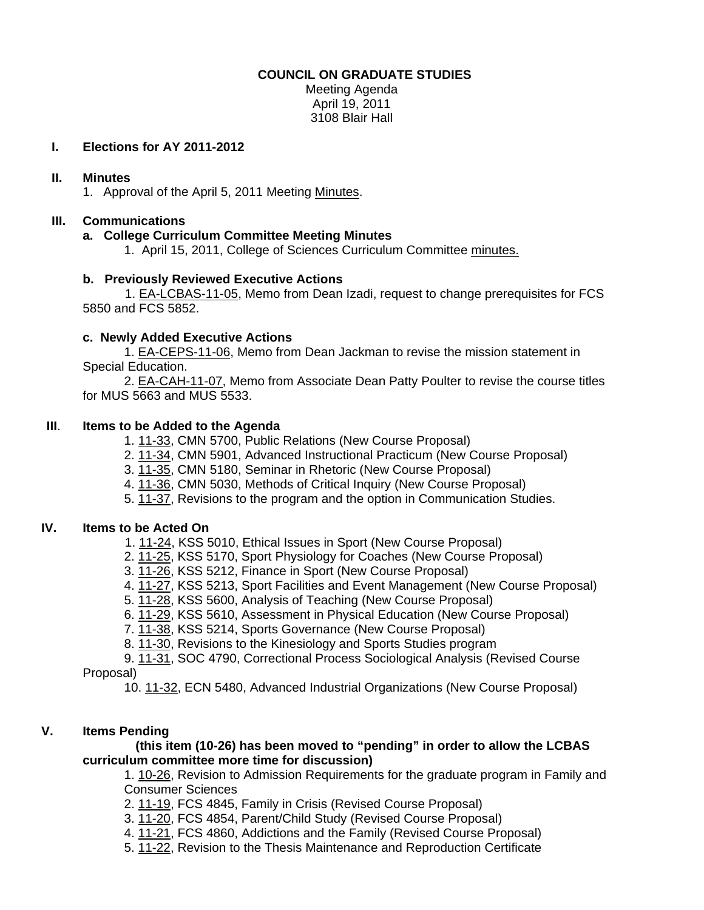## **COUNCIL ON GRADUATE STUDIES**

Meeting Agenda April 19, 2011 3108 Blair Hall

## **I. Elections for AY 2011-2012**

## **II. Minutes**

1. Approval of the April 5, 2011 Meeti[ng Minutes.](http://castle.eiu.edu/~eiucgs/currentminutes/Minutes4-5-11.pdf) 

## **III. Communications**

## **a. College Curriculum Committee Meeting Minutes**

1. April 15, 2011, College of Sciences Curriculum Committe[e minutes.](http://castle.eiu.edu/~eiucgs/currentagendaitems/COSMin4-15-11.pdf)

## **b. Pre[viously Reviewed E](http://castle.eiu.edu/~eiucgs/exec-actions/EA-LCBAS-11-05.pdf)xecutive Actions**

 1. EA-LCBAS-11-05, Memo from Dean Izadi, request to change prerequisites for FCS 5850 and FCS 5852.

## **c. Newly Added Executive Actions**

 1. [EA-CEPS-11-06, Memo](http://castle.eiu.edu/~eiucgs/exec-actions/EA-CEPS-11-06.pdf) from Dean Jackman to revise the mission statement in Special Education.

 [2. EA-CAH-11-07, M](http://castle.eiu.edu/~eiucgs/exec-actions/EA-CAH-11-07.pdf)emo from Associate Dean Patty Poulter to revise the course titles for MUS 5663 and MUS 5533.

## **III**. **Items to be Added to the Agenda**

[1. 11-33, C](http://castle.eiu.edu/~eiucgs/currentagendaitems/agenda11-33.pdf)MN 5700, Public Relations (New Course Proposal)

2[. 11-34, C](http://castle.eiu.edu/~eiucgs/currentagendaitems/agenda11-34.pdf)MN 5901, Advanced Instructional Practicum (New Course Proposal)

3[. 11-35, C](http://castle.eiu.edu/~eiucgs/currentagendaitems/agenda11-35.pdf)MN 5180, Seminar in Rhetoric (New Course Proposal)

- 4[. 11-36, C](http://castle.eiu.edu/~eiucgs/currentagendaitems/agenda11-36.pdf)MN 5030, Methods of Critical Inquiry (New Course Proposal)
- 5[. 11-37, Re](http://castle.eiu.edu/~eiucgs/currentagendaitems/agenda11-37.pdf)visions to the program and the option in Communication Studies.

#### **IV. Items to be Acted On**

- [1. 11-24, K](http://castle.eiu.edu/~eiucgs/currentagendaitems/agenda11-24.pdf)SS 5010, Ethical Issues in Sport (New Course Proposal)
- 2[. 11-25, KS](http://castle.eiu.edu/~eiucgs/currentagendaitems/agenda11-25.pdf)S 5170, Sport Physiology for Coaches (New Course Proposal)
- 3. [11-26, K](http://castle.eiu.edu/~eiucgs/currentagendaitems/agenda11-26.pdf)SS 5212, Finance in Sport (New Course Proposal)
- 4[. 11-27, K](http://castle.eiu.edu/~eiucgs/currentagendaitems/agenda11-27.pdf)SS 5213, Sport Facilities and Event Management (New Course Proposal)
- 5. [11-28, K](http://castle.eiu.edu/~eiucgs/currentagendaitems/agenda11-28.pdf)SS 5600, Analysis of Teaching (New Course Proposal)
- 6. [11-29,](http://castle.eiu.edu/~eiucgs/currentagendaitems/agenda11-29.pdf) KSS 5610, Assessment in Physical Education (New Course Proposal)
- 7. [11-38, K](http://castle.eiu.edu/~eiucgs/currentagendaitems/agenda11-38.pdf)SS 5214, Sports Governance (New Course Proposal)
- 8[. 11-30, R](http://castle.eiu.edu/~eiucgs/currentagendaitems/agenda11-30.pdf)evisions to the Kinesiology and Sports Studies program

 9[. 11-31, S](http://castle.eiu.edu/~eiucgs/currentagendaitems/agenda11-31.pdf)OC 4790, Correctional Process Sociological Analysis (Revised Course Proposal)

10. [11-32,](http://castle.eiu.edu/~eiucgs/currentagendaitems/agenda11-32.pdf) ECN 5480, Advanced Industrial Organizations (New Course Proposal)

#### **V. Items Pending**

#### **(this item (10-26) has been moved to "pending" in order to allow the LCBAS curriculum committee more time for discussion)**

1. [10-26, R](http://castle.eiu.edu/~eiucgs/currentagendaitems/agenda10-26.pdf)evision to Admission Requirements for the graduate program in Family and Consumer Sciences

- 2[. 11-19, F](http://castle.eiu.edu/~eiucgs/currentagendaitems/agenda11-19.pdf)CS 4845, Family in Crisis (Revised Course Proposal)
- 3. [11-20,](http://castle.eiu.edu/~eiucgs/currentagendaitems/agenda11-20.pdf) FCS 4854, Parent/Child Study (Revised Course Proposal)
- 4. [11-21, F](http://castle.eiu.edu/~eiucgs/currentagendaitems/agenda11-21.pdf)CS 4860, Addictions and the Family (Revised Course Proposal)
- 5. [11-22, R](http://castle.eiu.edu/~eiucgs/currentagendaitems/agenda11-22.pdf)evision to the Thesis Maintenance and Reproduction Certificate